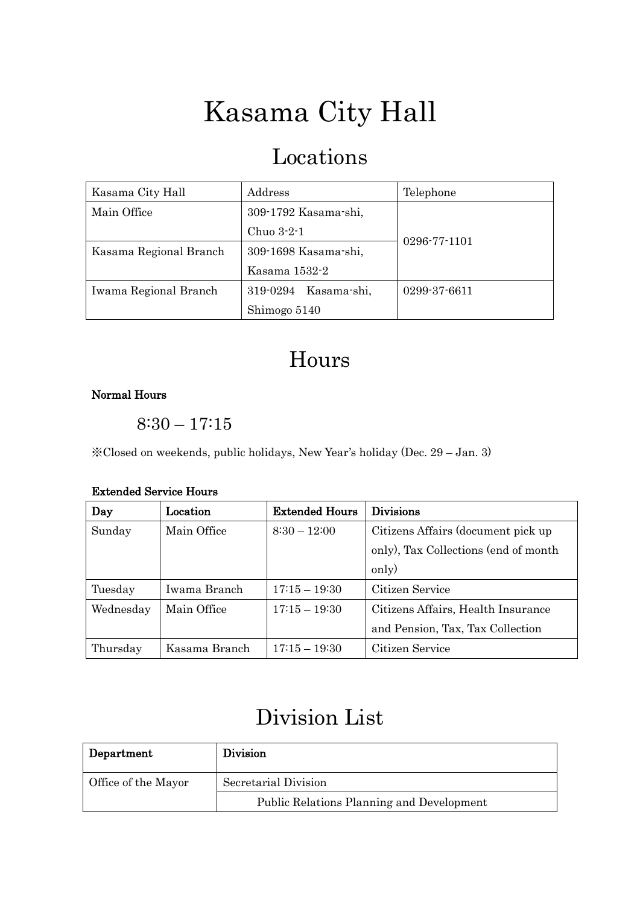# Kasama City Hall

## Locations

| Kasama City Hall       | Address              | Telephone          |
|------------------------|----------------------|--------------------|
| Main Office            | 309-1792 Kasama-shi, |                    |
|                        | Chuo 3-2-1           |                    |
| Kasama Regional Branch | 309-1698 Kasama-shi, | $0296 - 77 - 1101$ |
|                        | Kasama 1532-2        |                    |
| Iwama Regional Branch  | 319-0294 Kasama-shi, | 0299-37-6611       |
|                        | Shimogo 5140         |                    |

### Hours

#### Normal Hours

8:30 – 17:15

※Closed on weekends, public holidays, New Year's holiday (Dec. 29 – Jan. 3)

#### Extended Service Hours

| Day       | Location      | <b>Extended Hours</b> | <b>Divisions</b>                     |
|-----------|---------------|-----------------------|--------------------------------------|
| Sunday    | Main Office   | $8:30 - 12:00$        | Citizens Affairs (document pick up)  |
|           |               |                       | only), Tax Collections (end of month |
|           |               |                       | only)                                |
| Tuesday   | Iwama Branch  | $17:15 - 19:30$       | Citizen Service                      |
| Wednesday | Main Office   | $17:15 - 19:30$       | Citizens Affairs, Health Insurance   |
|           |               |                       | and Pension, Tax, Tax Collection     |
| Thursday  | Kasama Branch | $17:15 - 19:30$       | Citizen Service                      |

## Division List

| Department          | <b>Division</b>                                  |  |
|---------------------|--------------------------------------------------|--|
| Office of the Mayor | Secretarial Division                             |  |
|                     | <b>Public Relations Planning and Development</b> |  |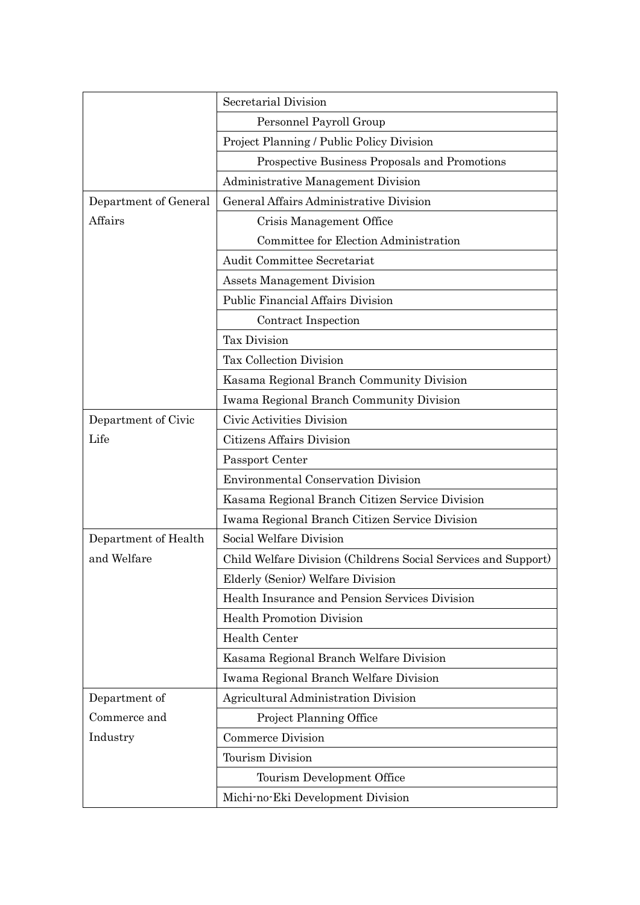|                       | Secretarial Division                                           |  |
|-----------------------|----------------------------------------------------------------|--|
|                       | Personnel Payroll Group                                        |  |
|                       | Project Planning / Public Policy Division                      |  |
|                       | Prospective Business Proposals and Promotions                  |  |
|                       | Administrative Management Division                             |  |
| Department of General | General Affairs Administrative Division                        |  |
| Affairs               | Crisis Management Office                                       |  |
|                       | Committee for Election Administration                          |  |
|                       | Audit Committee Secretariat                                    |  |
|                       | <b>Assets Management Division</b>                              |  |
|                       | Public Financial Affairs Division                              |  |
|                       | Contract Inspection                                            |  |
|                       | <b>Tax Division</b>                                            |  |
|                       | Tax Collection Division                                        |  |
|                       | Kasama Regional Branch Community Division                      |  |
|                       | Iwama Regional Branch Community Division                       |  |
| Department of Civic   | Civic Activities Division                                      |  |
| Life                  | Citizens Affairs Division                                      |  |
|                       | Passport Center                                                |  |
|                       | <b>Environmental Conservation Division</b>                     |  |
|                       | Kasama Regional Branch Citizen Service Division                |  |
|                       | Iwama Regional Branch Citizen Service Division                 |  |
| Department of Health  | Social Welfare Division                                        |  |
| and Welfare           | Child Welfare Division (Childrens Social Services and Support) |  |
|                       | Elderly (Senior) Welfare Division                              |  |
|                       | Health Insurance and Pension Services Division                 |  |
|                       | <b>Health Promotion Division</b>                               |  |
|                       | Health Center                                                  |  |
|                       | Kasama Regional Branch Welfare Division                        |  |
|                       | Iwama Regional Branch Welfare Division                         |  |
| Department of         | Agricultural Administration Division                           |  |
| Commerce and          | Project Planning Office                                        |  |
| Industry              | <b>Commerce Division</b>                                       |  |
|                       | Tourism Division                                               |  |
|                       | Tourism Development Office                                     |  |
|                       | Michi-no-Eki Development Division                              |  |